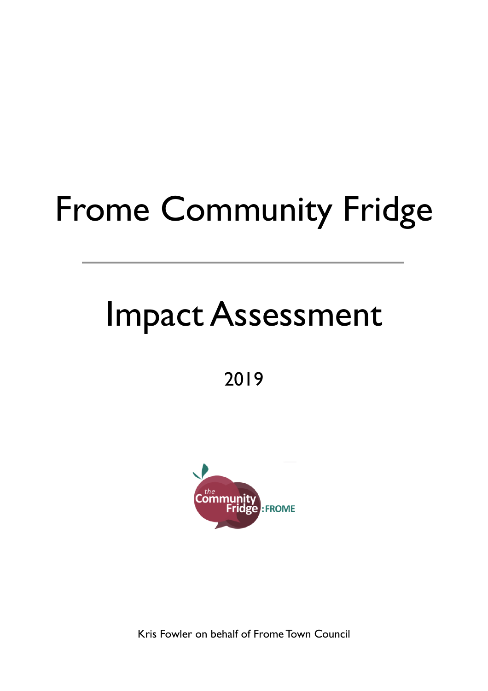# Frome Community Fridge

## Impact Assessment

2019



Kris Fowler on behalf of Frome Town Council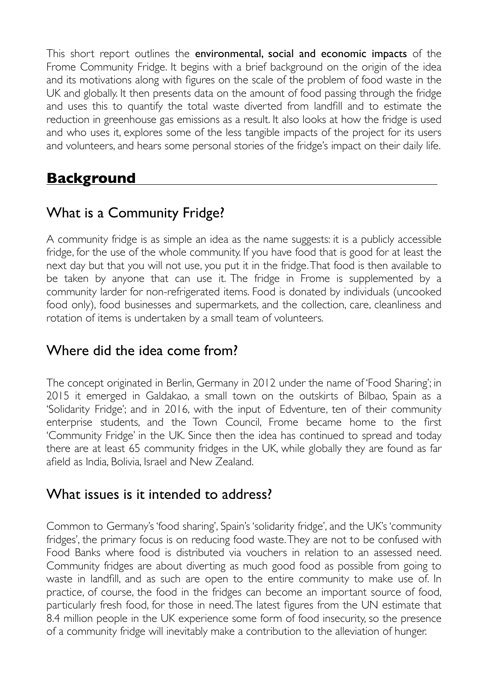This short report outlines the environmental, social and economic impacts of the Frome Community Fridge. It begins with a brief background on the origin of the idea and its motivations along with figures on the scale of the problem of food waste in the UK and globally. It then presents data on the amount of food passing through the fridge and uses this to quantify the total waste diverted from landfill and to estimate the reduction in greenhouse gas emissions as a result. It also looks at how the fridge is used and who uses it, explores some of the less tangible impacts of the project for its users and volunteers, and hears some personal stories of the fridge's impact on their daily life.

#### **Background**

### What is a Community Fridge?

A community fridge is as simple an idea as the name suggests: it is a publicly accessible fridge, for the use of the whole community. If you have food that is good for at least the next day but that you will not use, you put it in the fridge. That food is then available to be taken by anyone that can use it. The fridge in Frome is supplemented by a community larder for non-refrigerated items. Food is donated by individuals (uncooked food only), food businesses and supermarkets, and the collection, care, cleanliness and rotation of items is undertaken by a small team of volunteers.

#### Where did the idea come from?

The concept originated in Berlin, Germany in 2012 under the name of 'Food Sharing'; in 2015 it emerged in Galdakao, a small town on the outskirts of Bilbao, Spain as a 'Solidarity Fridge'; and in 2016, with the input of Edventure, ten of their community enterprise students, and the Town Council, Frome became home to the first 'Community Fridge' in the UK. Since then the idea has continued to spread and today there are at least 65 community fridges in the UK, while globally they are found as far afield as India, Bolivia, Israel and New Zealand.

#### What issues is it intended to address?

Common to Germany's 'food sharing', Spain's 'solidarity fridge', and the UK's 'community fridges', the primary focus is on reducing food waste. They are not to be confused with Food Banks where food is distributed via vouchers in relation to an assessed need. Community fridges are about diverting as much good food as possible from going to waste in landfill, and as such are open to the entire community to make use of. In practice, of course, the food in the fridges can become an important source of food, particularly fresh food, for those in need. The latest figures from the UN estimate that 8.4 million people in the UK experience some form of food insecurity, so the presence of a community fridge will inevitably make a contribution to the alleviation of hunger.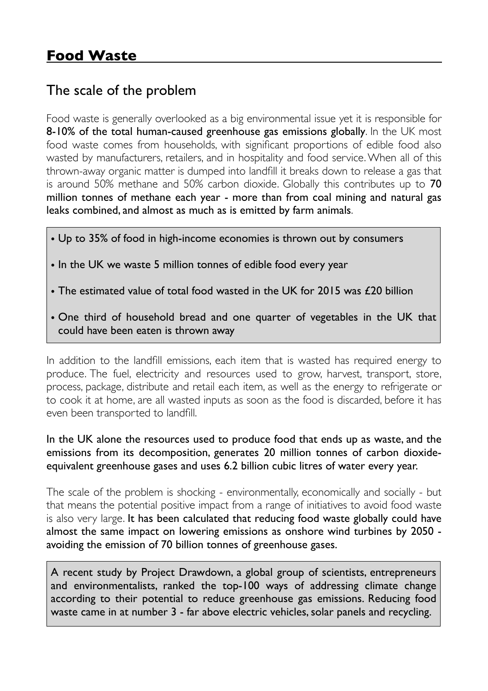#### The scale of the problem

Food waste is generally overlooked as a big environmental issue yet it is responsible for 8-10% of the total human-caused greenhouse gas emissions globally. In the UK most food waste comes from households, with significant proportions of edible food also wasted by manufacturers, retailers, and in hospitality and food service. When all of this thrown-away organic matter is dumped into landfill it breaks down to release a gas that is around 50% methane and 50% carbon dioxide. Globally this contributes up to 70 million tonnes of methane each year - more than from coal mining and natural gas leaks combined, and almost as much as is emitted by farm animals.

- Up to 35% of food in high-income economies is thrown out by consumers
- In the UK we waste 5 million tonnes of edible food every year
- The estimated value of total food wasted in the UK for 2015 was £20 billion
- One third of household bread and one quarter of vegetables in the UK that could have been eaten is thrown away

In addition to the landfill emissions, each item that is wasted has required energy to produce. The fuel, electricity and resources used to grow, harvest, transport, store, process, package, distribute and retail each item, as well as the energy to refrigerate or to cook it at home, are all wasted inputs as soon as the food is discarded, before it has even been transported to landfill.

#### In the UK alone the resources used to produce food that ends up as waste, and the emissions from its decomposition, generates 20 million tonnes of carbon dioxideequivalent greenhouse gases and uses 6.2 billion cubic litres of water every year.

The scale of the problem is shocking - environmentally, economically and socially - but that means the potential positive impact from a range of initiatives to avoid food waste is also very large. It has been calculated that reducing food waste globally could have almost the same impact on lowering emissions as onshore wind turbines by 2050 avoiding the emission of 70 billion tonnes of greenhouse gases.

A recent study by Project Drawdown, a global group of scientists, entrepreneurs and environmentalists, ranked the top-100 ways of addressing climate change according to their potential to reduce greenhouse gas emissions. Reducing food waste came in at number 3 - far above electric vehicles, solar panels and recycling.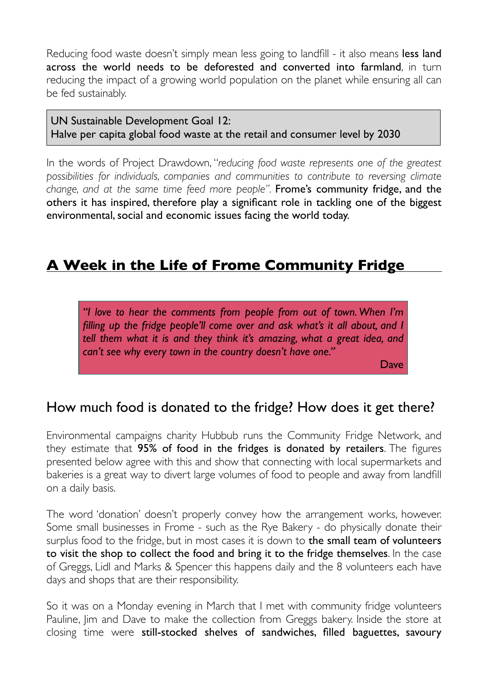Reducing food waste doesn't simply mean less going to landfill - it also means less land across the world needs to be deforested and converted into farmland, in turn reducing the impact of a growing world population on the planet while ensuring all can be fed sustainably.

UN Sustainable Development Goal 12: Halve per capita global food waste at the retail and consumer level by 2030

In the words of Project Drawdown, "*reducing food waste represents one of the greatest possibilities for individuals, companies and communities to contribute to reversing climate change, and at the same time feed more people".* Frome's community fridge, and the others it has inspired, therefore play a significant role in tackling one of the biggest environmental, social and economic issues facing the world today.

#### **A Week in the Life of Frome Community Fridge**

*"I love to hear the comments from people from out of town. When I'm filling up the fridge people'll come over and ask what's it all about, and I tell them what it is and they think it's amazing, what a great idea, and can't see why every town in the country doesn't have one."*

Dave

#### How much food is donated to the fridge? How does it get there?

Environmental campaigns charity Hubbub runs the Community Fridge Network, and they estimate that 95% of food in the fridges is donated by retailers. The figures presented below agree with this and show that connecting with local supermarkets and bakeries is a great way to divert large volumes of food to people and away from landfill on a daily basis.

The word 'donation' doesn't properly convey how the arrangement works, however. Some small businesses in Frome - such as the Rye Bakery - do physically donate their surplus food to the fridge, but in most cases it is down to **the small team of volunteers** to visit the shop to collect the food and bring it to the fridge themselves. In the case of Greggs, Lidl and Marks & Spencer this happens daily and the 8 volunteers each have days and shops that are their responsibility.

So it was on a Monday evening in March that I met with community fridge volunteers Pauline, Jim and Dave to make the collection from Greggs bakery. Inside the store at closing time were still-stocked shelves of sandwiches, filled baguettes, savoury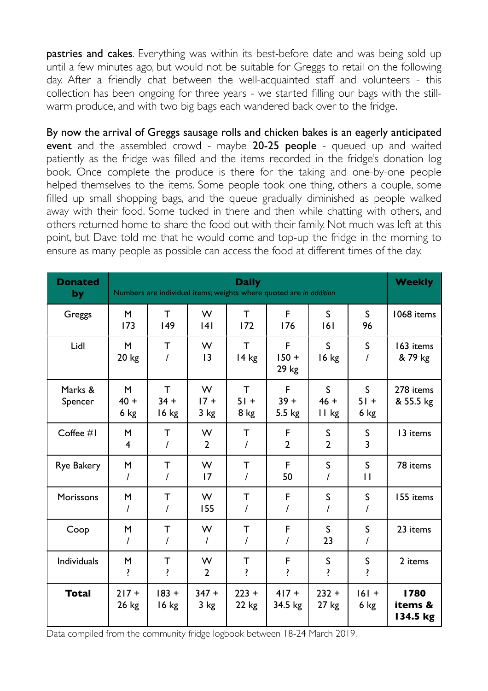pastries and cakes. Everything was within its best-before date and was being sold up until a few minutes ago, but would not be suitable for Greggs to retail on the following day. After a friendly chat between the well-acquainted staff and volunteers - this collection has been ongoing for three years - we started filling our bags with the stillwarm produce, and with two big bags each wandered back over to the fridge.

By now the arrival of Greggs sausage rolls and chicken bakes is an eagerly anticipated event and the assembled crowd - maybe 20-25 people - queued up and waited patiently as the fridge was filled and the items recorded in the fridge's donation log book. Once complete the produce is there for the taking and one-by-one people helped themselves to the items. Some people took one thing, others a couple, some filled up small shopping bags, and the queue gradually diminished as people walked away with their food. Some tucked in there and then while chatting with others, and others returned home to share the food out with their family. Not much was left at this point, but Dave told me that he would come and top-up the fridge in the morning to ensure as many people as possible can access the food at different times of the day.

| <b>Donated</b><br>by | <b>Daily</b><br>Numbers are individual items; weights where quoted are in addition |                      |                     |                                |                       |                                 |                                | <b>Weekly</b>               |
|----------------------|------------------------------------------------------------------------------------|----------------------|---------------------|--------------------------------|-----------------------|---------------------------------|--------------------------------|-----------------------------|
| Greggs               | M<br>173                                                                           | T<br>149             | W<br> 4             | $\mathsf{T}$<br>172            | F<br>176              | $\mathsf{S}$<br> 6              | $\mathsf{S}$<br>96             | 1068 items                  |
| Lidl                 | M<br>$20 \text{ kg}$                                                               | $\mathsf{T}$         | W<br> 3             | $\mathsf{T}$<br>$14$ kg        | F<br>$150 +$<br>29 kg | $\mathsf{S}$<br>16 kg           | $\mathsf{S}$<br>I              | 163 items<br>& 79 kg        |
| Marks &<br>Spencer   | M<br>$40 +$<br>6 kg                                                                | T<br>$34 +$<br>16 kg | W<br>$17 +$<br>3 kg | $\mathsf{T}$<br>$51 +$<br>8 kg | F<br>$39 +$<br>5.5 kg | $\mathsf{S}$<br>$46 +$<br>11 kg | $\mathsf{S}$<br>$51 +$<br>6 kg | 278 items<br>& 55.5 kg      |
| Coffee #1            | M<br>$\overline{4}$                                                                | $\mathsf{T}$<br>I    | W<br>$\overline{2}$ | $\mathsf T$<br>$\prime$        | F<br>$\overline{2}$   | $\mathsf S$<br>$\overline{2}$   | $\mathsf S$<br>$\overline{3}$  | 13 items                    |
| Rye Bakery           | M<br>$\prime$                                                                      | T<br>$\prime$        | W<br>17             | Τ<br>$\prime$                  | F<br>50               | S<br>I                          | $\mathsf{S}$<br>$\mathbf{1}$   | 78 items                    |
| Morissons            | M<br>$\overline{I}$                                                                | Τ<br>$\prime$        | W<br>155            | Τ<br>I                         | $\mathsf F$<br>I      | S<br>I                          | $\mathsf S$<br>$\overline{I}$  | 155 items                   |
| Coop                 | M<br>$\prime$                                                                      | T<br>$\prime$        | W<br>$\prime$       | $\mathsf T$<br>T               | F<br>I                | $\mathsf{S}$<br>23              | $\mathsf S$<br>I               | 23 items                    |
| Individuals          | M<br>ŗ                                                                             | T<br>ŗ               | W<br>$\overline{2}$ | T<br>ŗ                         | F<br>ŗ                | S<br>ŗ                          | $\mathsf S$<br>ŗ               | 2 items                     |
| <b>Total</b>         | $217 +$<br>26 kg                                                                   | $183 +$<br>16 kg     | $347 +$<br>3 kg     | $223 +$<br>$22$ kg             | $417 +$<br>34.5 kg    | $232 +$<br>$27$ kg              | $161 +$<br>$6$ kg              | 1780<br>items &<br>134.5 kg |

Data compiled from the community fridge logbook between 18-24 March 2019.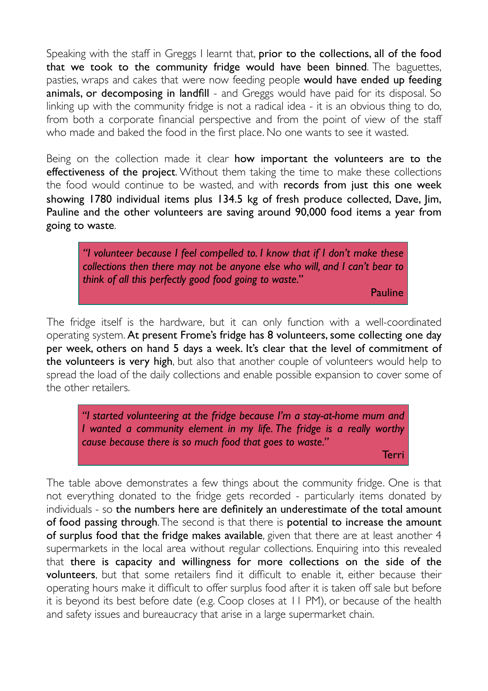Speaking with the staff in Greggs I learnt that, prior to the collections, all of the food that we took to the community fridge would have been binned. The baguettes, pasties, wraps and cakes that were now feeding people would have ended up feeding animals, or decomposing in landfill - and Greggs would have paid for its disposal. So linking up with the community fridge is not a radical idea - it is an obvious thing to do, from both a corporate financial perspective and from the point of view of the staff who made and baked the food in the first place. No one wants to see it wasted.

Being on the collection made it clear how important the volunteers are to the effectiveness of the project. Without them taking the time to make these collections the food would continue to be wasted, and with records from just this one week showing 1780 individual items plus 134.5 kg of fresh produce collected, Dave, Jim, Pauline and the other volunteers are saving around 90,000 food items a year from going to waste.

*"I volunteer because I feel compelled to. I know that if I don't make these collections then there may not be anyone else who will, and I can't bear to think of all this perfectly good food going to waste."*

Pauline

The fridge itself is the hardware, but it can only function with a well-coordinated operating system. At present Frome's fridge has 8 volunteers, some collecting one day per week, others on hand 5 days a week. It's clear that the level of commitment of the volunteers is very high, but also that another couple of volunteers would help to spread the load of the daily collections and enable possible expansion to cover some of the other retailers.

*"I started volunteering at the fridge because I'm a stay-at-home mum and I* wanted a community element in my life. The fridge is a really worthy *cause because there is so much food that goes to waste."*

Terri

The table above demonstrates a few things about the community fridge. One is that not everything donated to the fridge gets recorded - particularly items donated by individuals - so the numbers here are definitely an underestimate of the total amount of food passing through. The second is that there is potential to increase the amount of surplus food that the fridge makes available, given that there are at least another 4 supermarkets in the local area without regular collections. Enquiring into this revealed that there is capacity and willingness for more collections on the side of the volunteers, but that some retailers find it difficult to enable it, either because their operating hours make it difficult to offer surplus food after it is taken off sale but before it is beyond its best before date (e.g. Coop closes at 11 PM), or because of the health and safety issues and bureaucracy that arise in a large supermarket chain.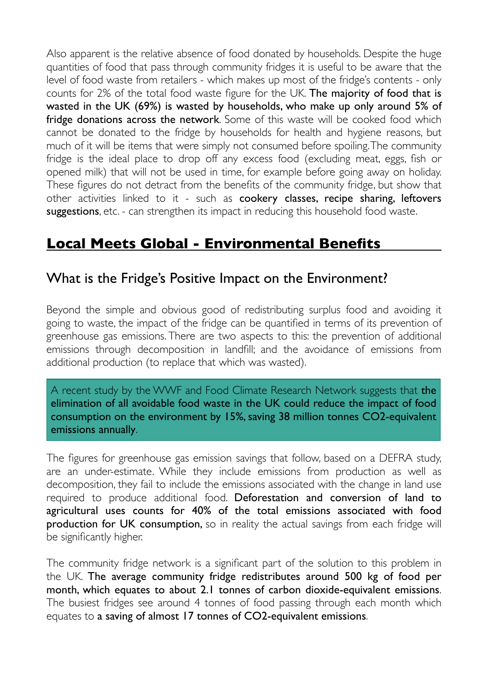Also apparent is the relative absence of food donated by households. Despite the huge quantities of food that pass through community fridges it is useful to be aware that the level of food waste from retailers - which makes up most of the fridge's contents - only counts for 2% of the total food waste figure for the UK. The majority of food that is wasted in the UK (69%) is wasted by households, who make up only around 5% of fridge donations across the network. Some of this waste will be cooked food which cannot be donated to the fridge by households for health and hygiene reasons, but much of it will be items that were simply not consumed before spoiling. The community fridge is the ideal place to drop off any excess food (excluding meat, eggs, fish or opened milk) that will not be used in time, for example before going away on holiday. These figures do not detract from the benefits of the community fridge, but show that other activities linked to it - such as cookery classes, recipe sharing, leftovers suggestions, etc. - can strengthen its impact in reducing this household food waste.

#### **Local Meets Global - Environmental Benefits**

#### What is the Fridge's Positive Impact on the Environment?

Beyond the simple and obvious good of redistributing surplus food and avoiding it going to waste, the impact of the fridge can be quantified in terms of its prevention of greenhouse gas emissions. There are two aspects to this: the prevention of additional emissions through decomposition in landfill; and the avoidance of emissions from additional production (to replace that which was wasted).

A recent study by the WWF and Food Climate Research Network suggests that the elimination of all avoidable food waste in the UK could reduce the impact of food consumption on the environment by 15%, saving 38 million tonnes CO2-equivalent emissions annually.

The figures for greenhouse gas emission savings that follow, based on a DEFRA study, are an under-estimate. While they include emissions from production as well as decomposition, they fail to include the emissions associated with the change in land use required to produce additional food. Deforestation and conversion of land to agricultural uses counts for 40% of the total emissions associated with food **production for UK consumption,** so in reality the actual savings from each fridge will be significantly higher.

The community fridge network is a significant part of the solution to this problem in the UK. The average community fridge redistributes around 500 kg of food per month, which equates to about 2.1 tonnes of carbon dioxide-equivalent emissions. The busiest fridges see around 4 tonnes of food passing through each month which equates to a saving of almost 17 tonnes of CO2-equivalent emissions.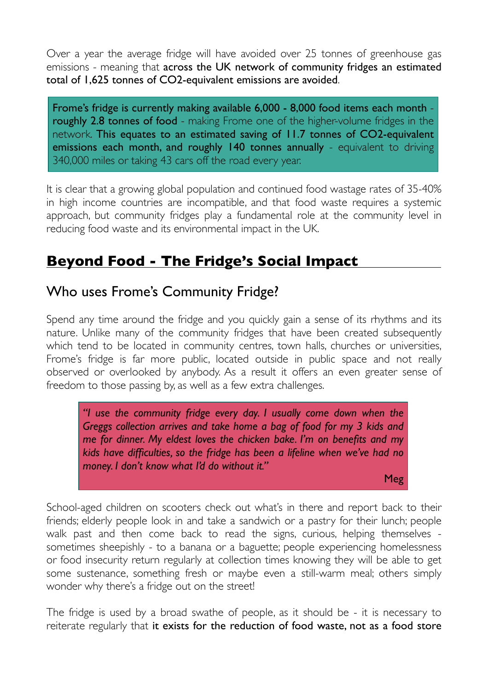Over a year the average fridge will have avoided over 25 tonnes of greenhouse gas emissions - meaning that across the UK network of community fridges an estimated total of 1,625 tonnes of CO2-equivalent emissions are avoided.

Frome's fridge is currently making available 6,000 - 8,000 food items each month roughly 2.8 tonnes of food - making Frome one of the higher-volume fridges in the network. This equates to an estimated saving of 11.7 tonnes of CO2-equivalent emissions each month, and roughly 140 tonnes annually - equivalent to driving 340,000 miles or taking 43 cars off the road every year.

It is clear that a growing global population and continued food wastage rates of 35-40% in high income countries are incompatible, and that food waste requires a systemic approach, but community fridges play a fundamental role at the community level in reducing food waste and its environmental impact in the UK.

#### **Beyond Food - The Fridge's Social Impact**

#### Who uses Frome's Community Fridge?

Spend any time around the fridge and you quickly gain a sense of its rhythms and its nature. Unlike many of the community fridges that have been created subsequently which tend to be located in community centres, town halls, churches or universities, Frome's fridge is far more public, located outside in public space and not really observed or overlooked by anybody. As a result it offers an even greater sense of freedom to those passing by, as well as a few extra challenges.

*"I use the community fridge every day. I usually come down when the Greggs collection arrives and take home a bag of food for my 3 kids and me for dinner. My eldest loves the chicken bake. I'm on benefits and my kids have difficulties, so the fridge has been a lifeline when we've had no money. I don't know what I'd do without it."*

Meg

School-aged children on scooters check out what's in there and report back to their friends; elderly people look in and take a sandwich or a pastry for their lunch; people walk past and then come back to read the signs, curious, helping themselves sometimes sheepishly - to a banana or a baguette; people experiencing homelessness or food insecurity return regularly at collection times knowing they will be able to get some sustenance, something fresh or maybe even a still-warm meal; others simply wonder why there's a fridge out on the street!

The fridge is used by a broad swathe of people, as it should be - it is necessary to reiterate regularly that it exists for the reduction of food waste, not as a food store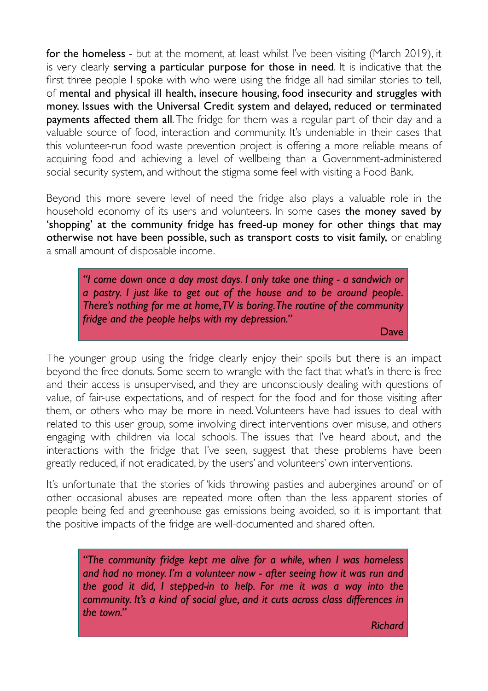for the homeless - but at the moment, at least whilst I've been visiting (March 2019), it is very clearly serving a particular purpose for those in need. It is indicative that the first three people I spoke with who were using the fridge all had similar stories to tell, of mental and physical ill health, insecure housing, food insecurity and struggles with money. Issues with the Universal Credit system and delayed, reduced or terminated payments affected them all. The fridge for them was a regular part of their day and a valuable source of food, interaction and community. It's undeniable in their cases that this volunteer-run food waste prevention project is offering a more reliable means of acquiring food and achieving a level of wellbeing than a Government-administered social security system, and without the stigma some feel with visiting a Food Bank.

Beyond this more severe level of need the fridge also plays a valuable role in the household economy of its users and volunteers. In some cases the money saved by 'shopping' at the community fridge has freed-up money for other things that may otherwise not have been possible, such as transport costs to visit family, or enabling a small amount of disposable income.

*"I come down once a day most days. I only take one thing - a sandwich or a pastry. I just like to get out of the house and to be around people. There's nothing for me at home, TV is boring. The routine of the community fridge and the people helps with my depression."*

Dave

The younger group using the fridge clearly enjoy their spoils but there is an impact beyond the free donuts. Some seem to wrangle with the fact that what's in there is free and their access is unsupervised, and they are unconsciously dealing with questions of value, of fair-use expectations, and of respect for the food and for those visiting after them, or others who may be more in need. Volunteers have had issues to deal with related to this user group, some involving direct interventions over misuse, and others engaging with children via local schools. The issues that I've heard about, and the interactions with the fridge that I've seen, suggest that these problems have been greatly reduced, if not eradicated, by the users' and volunteers' own interventions.

It's unfortunate that the stories of 'kids throwing pasties and aubergines around' or of other occasional abuses are repeated more often than the less apparent stories of people being fed and greenhouse gas emissions being avoided, so it is important that the positive impacts of the fridge are well-documented and shared often.

*"The community fridge kept me alive for a while, when I was homeless and had no money. I'm a volunteer now - after seeing how it was run and the good it did, I stepped-in to help. For me it was a way into the community. It's a kind of social glue, and it cuts across class differences in the town."*

*Richard*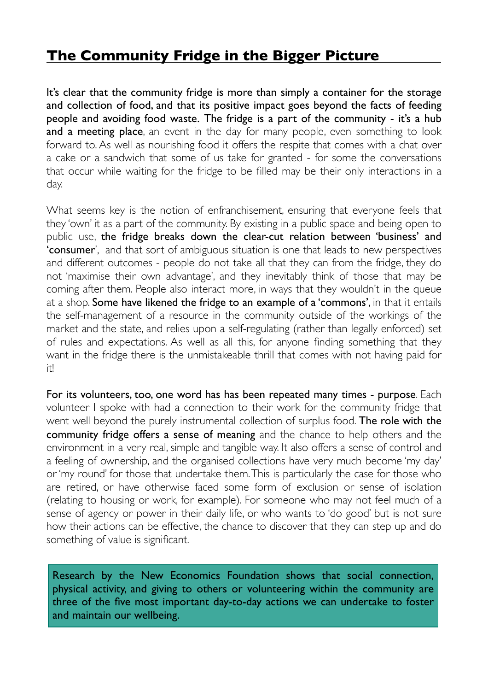#### **The Community Fridge in the Bigger Picture**

It's clear that the community fridge is more than simply a container for the storage and collection of food, and that its positive impact goes beyond the facts of feeding people and avoiding food waste. The fridge is a part of the community - it's a hub and a meeting place, an event in the day for many people, even something to look forward to. As well as nourishing food it offers the respite that comes with a chat over a cake or a sandwich that some of us take for granted - for some the conversations that occur while waiting for the fridge to be filled may be their only interactions in a day.

What seems key is the notion of enfranchisement, ensuring that everyone feels that they 'own' it as a part of the community. By existing in a public space and being open to public use, the fridge breaks down the clear-cut relation between 'business' and 'consumer', and that sort of ambiguous situation is one that leads to new perspectives and different outcomes - people do not take all that they can from the fridge, they do not 'maximise their own advantage', and they inevitably think of those that may be coming after them. People also interact more, in ways that they wouldn't in the queue at a shop. Some have likened the fridge to an example of a 'commons', in that it entails the self-management of a resource in the community outside of the workings of the market and the state, and relies upon a self-regulating (rather than legally enforced) set of rules and expectations. As well as all this, for anyone finding something that they want in the fridge there is the unmistakeable thrill that comes with not having paid for it!

For its volunteers, too, one word has has been repeated many times - purpose. Each volunteer I spoke with had a connection to their work for the community fridge that went well beyond the purely instrumental collection of surplus food. The role with the community fridge offers a sense of meaning and the chance to help others and the environment in a very real, simple and tangible way. It also offers a sense of control and a feeling of ownership, and the organised collections have very much become 'my day' or 'my round' for those that undertake them. This is particularly the case for those who are retired, or have otherwise faced some form of exclusion or sense of isolation (relating to housing or work, for example). For someone who may not feel much of a sense of agency or power in their daily life, or who wants to 'do good' but is not sure how their actions can be effective, the chance to discover that they can step up and do something of value is significant.

Research by the New Economics Foundation shows that social connection, physical activity, and giving to others or volunteering within the community are three of the five most important day-to-day actions we can undertake to foster and maintain our wellbeing.